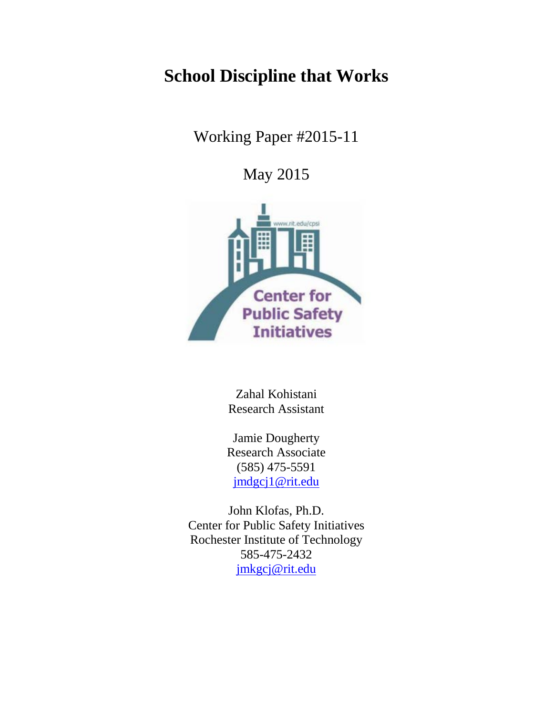# **School Discipline that Works**

Working Paper #2015-11

May 2015



Zahal Kohistani Research Assistant

Jamie Dougherty Research Associate (585) 475-5591 [jmdgcj1@rit.edu](mailto:jmdgcj1@rit.edu)

John Klofas, Ph.D. Center for Public Safety Initiatives Rochester Institute of Technology 585-475-2432 [jmkgcj@rit.edu](mailto:jmkgcj@rit.edu)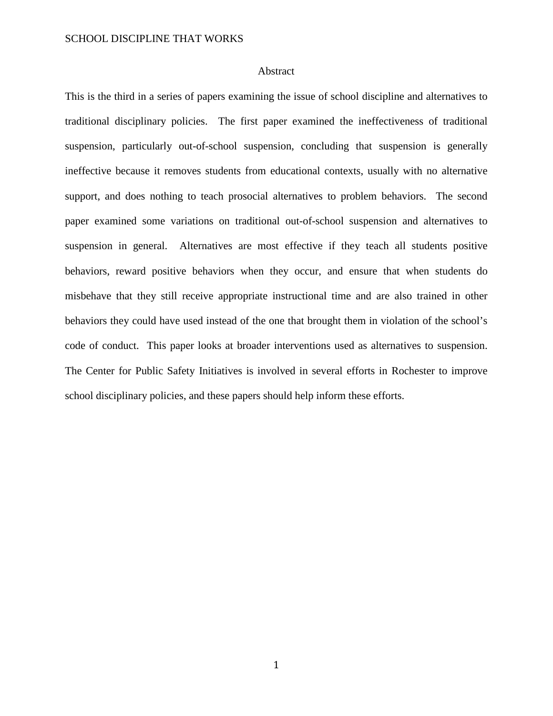## Abstract

This is the third in a series of papers examining the issue of school discipline and alternatives to traditional disciplinary policies. The first paper examined the ineffectiveness of traditional suspension, particularly out-of-school suspension, concluding that suspension is generally ineffective because it removes students from educational contexts, usually with no alternative support, and does nothing to teach prosocial alternatives to problem behaviors. The second paper examined some variations on traditional out-of-school suspension and alternatives to suspension in general. Alternatives are most effective if they teach all students positive behaviors, reward positive behaviors when they occur, and ensure that when students do misbehave that they still receive appropriate instructional time and are also trained in other behaviors they could have used instead of the one that brought them in violation of the school's code of conduct. This paper looks at broader interventions used as alternatives to suspension. The Center for Public Safety Initiatives is involved in several efforts in Rochester to improve school disciplinary policies, and these papers should help inform these efforts.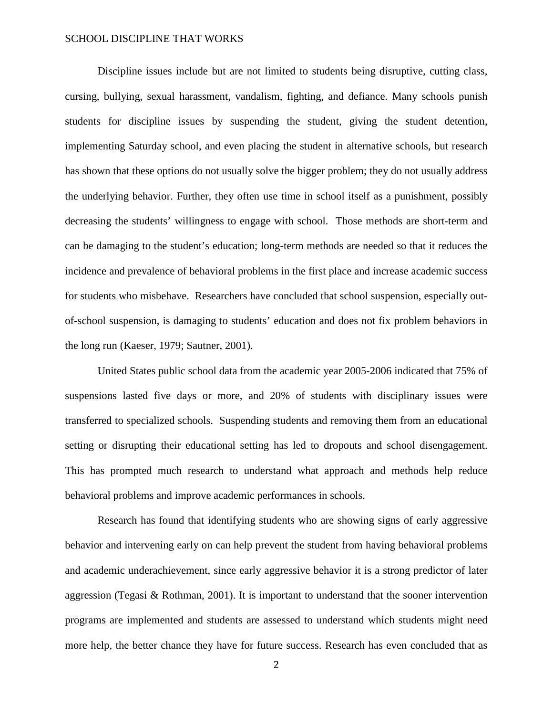Discipline issues include but are not limited to students being disruptive, cutting class, cursing, bullying, sexual harassment, vandalism, fighting, and defiance. Many schools punish students for discipline issues by suspending the student, giving the student detention, implementing Saturday school, and even placing the student in alternative schools, but research has shown that these options do not usually solve the bigger problem; they do not usually address the underlying behavior. Further, they often use time in school itself as a punishment, possibly decreasing the students' willingness to engage with school. Those methods are short-term and can be damaging to the student's education; long-term methods are needed so that it reduces the incidence and prevalence of behavioral problems in the first place and increase academic success for students who misbehave. Researchers have concluded that school suspension, especially outof-school suspension, is damaging to students' education and does not fix problem behaviors in the long run (Kaeser, 1979; Sautner, 2001).

United States public school data from the academic year 2005-2006 indicated that 75% of suspensions lasted five days or more, and 20% of students with disciplinary issues were transferred to specialized schools. Suspending students and removing them from an educational setting or disrupting their educational setting has led to dropouts and school disengagement. This has prompted much research to understand what approach and methods help reduce behavioral problems and improve academic performances in schools.

Research has found that identifying students who are showing signs of early aggressive behavior and intervening early on can help prevent the student from having behavioral problems and academic underachievement, since early aggressive behavior it is a strong predictor of later aggression (Tegasi & Rothman, 2001). It is important to understand that the sooner intervention programs are implemented and students are assessed to understand which students might need more help, the better chance they have for future success. Research has even concluded that as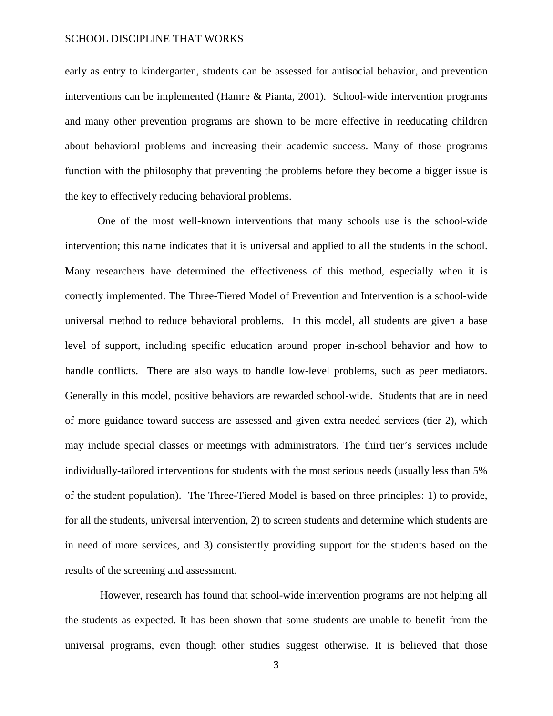early as entry to kindergarten, students can be assessed for antisocial behavior, and prevention interventions can be implemented (Hamre & Pianta, 2001). School-wide intervention programs and many other prevention programs are shown to be more effective in reeducating children about behavioral problems and increasing their academic success. Many of those programs function with the philosophy that preventing the problems before they become a bigger issue is the key to effectively reducing behavioral problems.

One of the most well-known interventions that many schools use is the school-wide intervention; this name indicates that it is universal and applied to all the students in the school. Many researchers have determined the effectiveness of this method, especially when it is correctly implemented. The Three-Tiered Model of Prevention and Intervention is a school-wide universal method to reduce behavioral problems. In this model, all students are given a base level of support, including specific education around proper in-school behavior and how to handle conflicts. There are also ways to handle low-level problems, such as peer mediators. Generally in this model, positive behaviors are rewarded school-wide. Students that are in need of more guidance toward success are assessed and given extra needed services (tier 2), which may include special classes or meetings with administrators. The third tier's services include individually-tailored interventions for students with the most serious needs (usually less than 5% of the student population). The Three-Tiered Model is based on three principles: 1) to provide, for all the students, universal intervention, 2) to screen students and determine which students are in need of more services, and 3) consistently providing support for the students based on the results of the screening and assessment.

However, research has found that school-wide intervention programs are not helping all the students as expected. It has been shown that some students are unable to benefit from the universal programs, even though other studies suggest otherwise. It is believed that those

3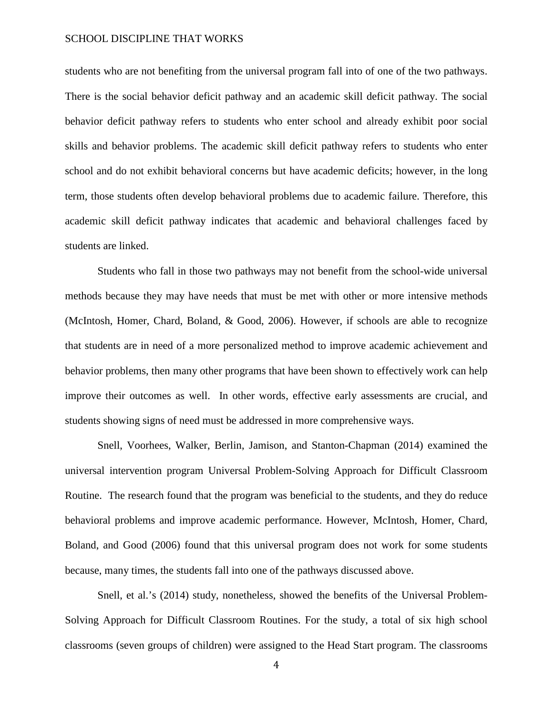students who are not benefiting from the universal program fall into of one of the two pathways. There is the social behavior deficit pathway and an academic skill deficit pathway. The social behavior deficit pathway refers to students who enter school and already exhibit poor social skills and behavior problems. The academic skill deficit pathway refers to students who enter school and do not exhibit behavioral concerns but have academic deficits; however, in the long term, those students often develop behavioral problems due to academic failure. Therefore, this academic skill deficit pathway indicates that academic and behavioral challenges faced by students are linked.

Students who fall in those two pathways may not benefit from the school-wide universal methods because they may have needs that must be met with other or more intensive methods (McIntosh, Homer, Chard, Boland, & Good, 2006). However, if schools are able to recognize that students are in need of a more personalized method to improve academic achievement and behavior problems, then many other programs that have been shown to effectively work can help improve their outcomes as well. In other words, effective early assessments are crucial, and students showing signs of need must be addressed in more comprehensive ways.

Snell, Voorhees, Walker, Berlin, Jamison, and Stanton-Chapman (2014) examined the universal intervention program Universal Problem-Solving Approach for Difficult Classroom Routine. The research found that the program was beneficial to the students, and they do reduce behavioral problems and improve academic performance. However, McIntosh, Homer, Chard, Boland, and Good (2006) found that this universal program does not work for some students because, many times, the students fall into one of the pathways discussed above.

Snell, et al.'s (2014) study, nonetheless, showed the benefits of the Universal Problem-Solving Approach for Difficult Classroom Routines. For the study, a total of six high school classrooms (seven groups of children) were assigned to the Head Start program. The classrooms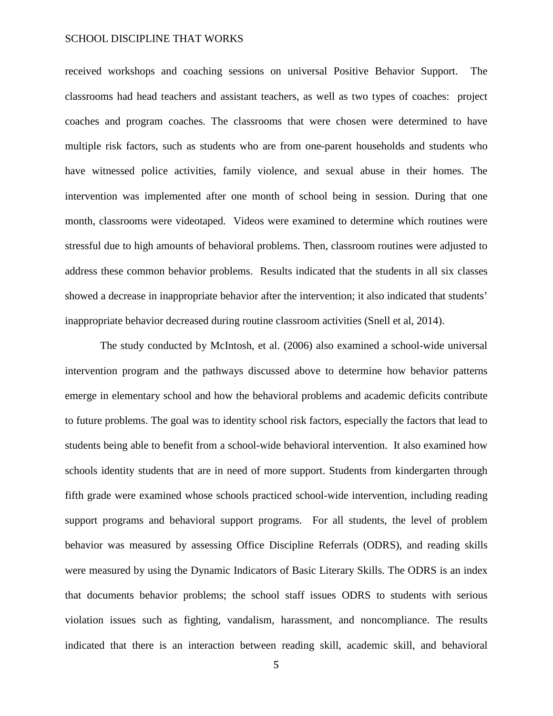received workshops and coaching sessions on universal Positive Behavior Support. The classrooms had head teachers and assistant teachers, as well as two types of coaches: project coaches and program coaches. The classrooms that were chosen were determined to have multiple risk factors, such as students who are from one-parent households and students who have witnessed police activities, family violence, and sexual abuse in their homes. The intervention was implemented after one month of school being in session. During that one month, classrooms were videotaped. Videos were examined to determine which routines were stressful due to high amounts of behavioral problems. Then, classroom routines were adjusted to address these common behavior problems. Results indicated that the students in all six classes showed a decrease in inappropriate behavior after the intervention; it also indicated that students' inappropriate behavior decreased during routine classroom activities (Snell et al, 2014).

The study conducted by McIntosh, et al. (2006) also examined a school-wide universal intervention program and the pathways discussed above to determine how behavior patterns emerge in elementary school and how the behavioral problems and academic deficits contribute to future problems. The goal was to identity school risk factors, especially the factors that lead to students being able to benefit from a school-wide behavioral intervention. It also examined how schools identity students that are in need of more support. Students from kindergarten through fifth grade were examined whose schools practiced school-wide intervention, including reading support programs and behavioral support programs. For all students, the level of problem behavior was measured by assessing Office Discipline Referrals (ODRS), and reading skills were measured by using the Dynamic Indicators of Basic Literary Skills. The ODRS is an index that documents behavior problems; the school staff issues ODRS to students with serious violation issues such as fighting, vandalism, harassment, and noncompliance. The results indicated that there is an interaction between reading skill, academic skill, and behavioral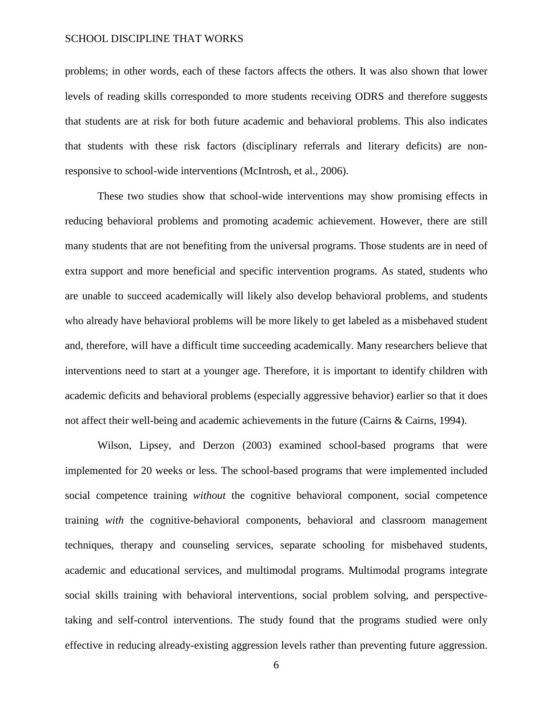problems; in other words, each of these factors affects the others. It was also shown that lower levels of reading skills corresponded to more students receiving ODRS and therefore suggests that students are at risk for both future academic and behavioral problems. This also indicates that students with these risk factors (disciplinary referrals and literary deficits) are nonresponsive to school-wide interventions (McIntrosh, et al., 2006).

These two studies show that school-wide interventions may show promising effects in reducing behavioral problems and promoting academic achievement. However, there are still many students that are not benefiting from the universal programs. Those students are in need of extra support and more beneficial and specific intervention programs. As stated, students who are unable to succeed academically will likely also develop behavioral problems, and students who already have behavioral problems will be more likely to get labeled as a misbehaved student and, therefore, will have a difficult time succeeding academically. Many researchers believe that interventions need to start at a younger age. Therefore, it is important to identify children with academic deficits and behavioral problems (especially aggressive behavior) earlier so that it does not affect their well-being and academic achievements in the future (Cairns & Cairns, 1994).

Wilson, Lipsey, and Derzon (2003) examined school-based programs that were implemented for 20 weeks or less. The school-based programs that were implemented included social competence training *without* the cognitive behavioral component, social competence training *with* the cognitive-behavioral components, behavioral and classroom management techniques, therapy and counseling services, separate schooling for misbehaved students, academic and educational services, and multimodal programs. Multimodal programs integrate social skills training with behavioral interventions, social problem solving, and perspectivetaking and self-control interventions. The study found that the programs studied were only effective in reducing already-existing aggression levels rather than preventing future aggression.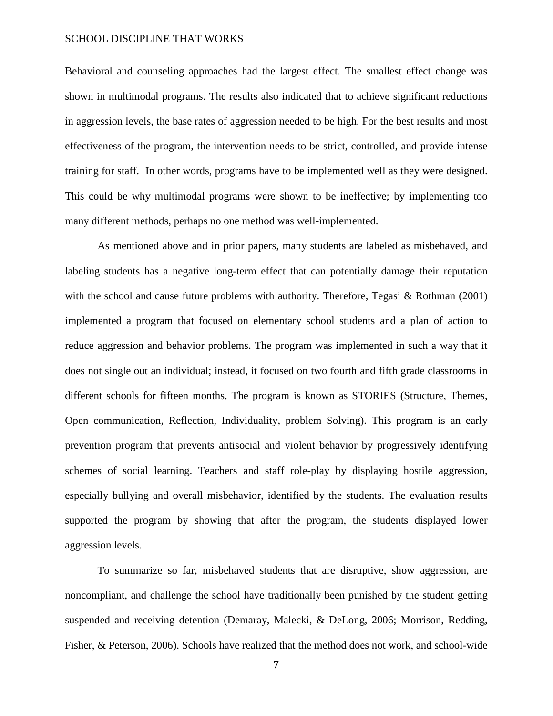Behavioral and counseling approaches had the largest effect. The smallest effect change was shown in multimodal programs. The results also indicated that to achieve significant reductions in aggression levels, the base rates of aggression needed to be high. For the best results and most effectiveness of the program, the intervention needs to be strict, controlled, and provide intense training for staff. In other words, programs have to be implemented well as they were designed. This could be why multimodal programs were shown to be ineffective; by implementing too many different methods, perhaps no one method was well-implemented.

As mentioned above and in prior papers, many students are labeled as misbehaved, and labeling students has a negative long-term effect that can potentially damage their reputation with the school and cause future problems with authority. Therefore, Tegasi & Rothman (2001) implemented a program that focused on elementary school students and a plan of action to reduce aggression and behavior problems. The program was implemented in such a way that it does not single out an individual; instead, it focused on two fourth and fifth grade classrooms in different schools for fifteen months. The program is known as STORIES (Structure, Themes, Open communication, Reflection, Individuality, problem Solving). This program is an early prevention program that prevents antisocial and violent behavior by progressively identifying schemes of social learning. Teachers and staff role-play by displaying hostile aggression, especially bullying and overall misbehavior, identified by the students. The evaluation results supported the program by showing that after the program, the students displayed lower aggression levels.

To summarize so far, misbehaved students that are disruptive, show aggression, are noncompliant, and challenge the school have traditionally been punished by the student getting suspended and receiving detention (Demaray, Malecki, & DeLong, 2006; Morrison, Redding, Fisher, & Peterson, 2006). Schools have realized that the method does not work, and school-wide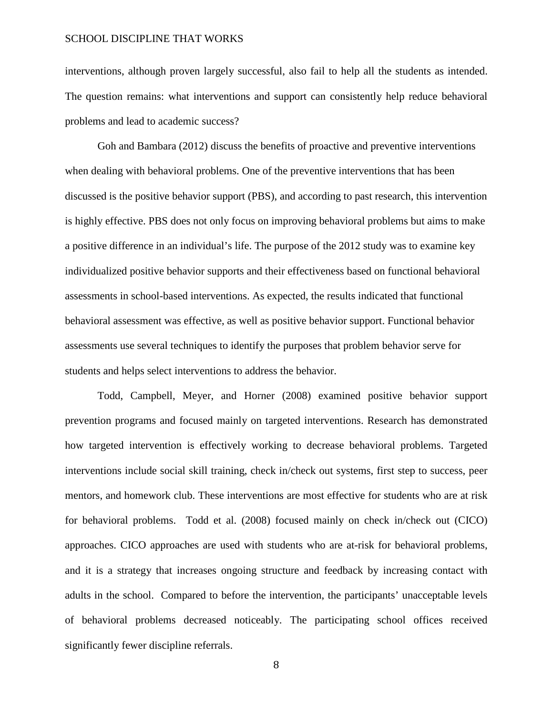interventions, although proven largely successful, also fail to help all the students as intended. The question remains: what interventions and support can consistently help reduce behavioral problems and lead to academic success?

Goh and Bambara (2012) discuss the benefits of proactive and preventive interventions when dealing with behavioral problems. One of the preventive interventions that has been discussed is the positive behavior support (PBS), and according to past research, this intervention is highly effective. PBS does not only focus on improving behavioral problems but aims to make a positive difference in an individual's life. The purpose of the 2012 study was to examine key individualized positive behavior supports and their effectiveness based on functional behavioral assessments in school-based interventions. As expected, the results indicated that functional behavioral assessment was effective, as well as positive behavior support. Functional behavior assessments use several techniques to identify the purposes that problem behavior serve for students and helps select interventions to address the behavior.

Todd, Campbell, Meyer, and Horner (2008) examined positive behavior support prevention programs and focused mainly on targeted interventions. Research has demonstrated how targeted intervention is effectively working to decrease behavioral problems. Targeted interventions include social skill training, check in/check out systems, first step to success, peer mentors, and homework club. These interventions are most effective for students who are at risk for behavioral problems. Todd et al. (2008) focused mainly on check in/check out (CICO) approaches. CICO approaches are used with students who are at-risk for behavioral problems, and it is a strategy that increases ongoing structure and feedback by increasing contact with adults in the school. Compared to before the intervention, the participants' unacceptable levels of behavioral problems decreased noticeably. The participating school offices received significantly fewer discipline referrals.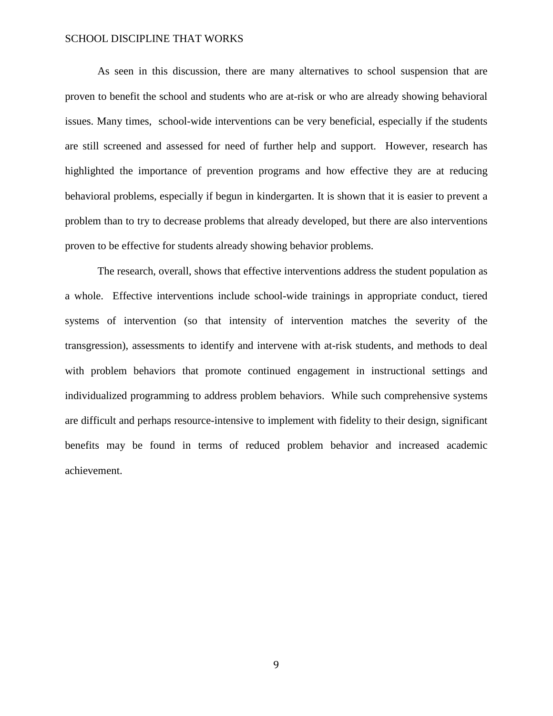As seen in this discussion, there are many alternatives to school suspension that are proven to benefit the school and students who are at-risk or who are already showing behavioral issues. Many times, school-wide interventions can be very beneficial, especially if the students are still screened and assessed for need of further help and support. However, research has highlighted the importance of prevention programs and how effective they are at reducing behavioral problems, especially if begun in kindergarten. It is shown that it is easier to prevent a problem than to try to decrease problems that already developed, but there are also interventions proven to be effective for students already showing behavior problems.

The research, overall, shows that effective interventions address the student population as a whole. Effective interventions include school-wide trainings in appropriate conduct, tiered systems of intervention (so that intensity of intervention matches the severity of the transgression), assessments to identify and intervene with at-risk students, and methods to deal with problem behaviors that promote continued engagement in instructional settings and individualized programming to address problem behaviors. While such comprehensive systems are difficult and perhaps resource-intensive to implement with fidelity to their design, significant benefits may be found in terms of reduced problem behavior and increased academic achievement.

9